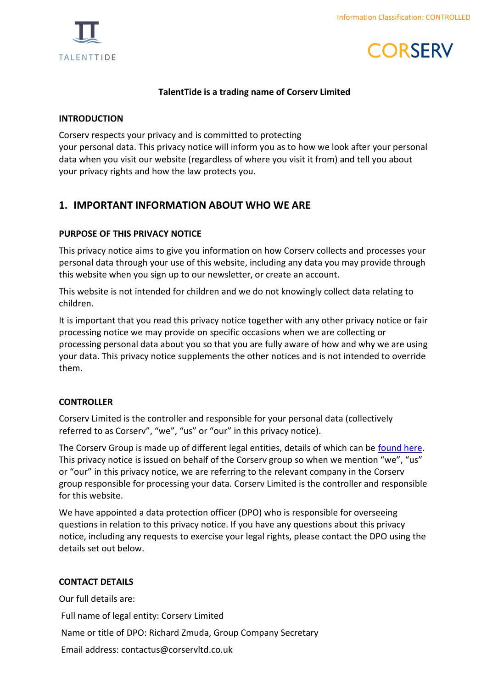



# **TalentTide is a trading name of Corserv Limited**

### **INTRODUCTION**

Corserv respects your privacy and is committed to protecting your personal data. This privacy notice will inform you as to how we look after your personal data when you visit our website (regardless of where you visit it from) and tell you about your privacy rights and how the law protects you.

# **1. IMPORTANT INFORMATION ABOUT WHO WE ARE**

# **PURPOSE OF THIS PRIVACY NOTICE**

This privacy notice aims to give you information on how Corserv collects and processes your personal data through your use of this website, including any data you may provide through this website when you sign up to our newsletter, or create an account.

This website is not intended for children and we do not knowingly collect data relating to children.

It is important that you read this privacy notice together with any other privacy notice or fair processing notice we may provide on specific occasions when we are collecting or processing personal data about you so that you are fully aware of how and why we are using your data. This privacy notice supplements the other notices and is not intended to override them.

# **CONTROLLER**

Corserv Limited is the controller and responsible for your personal data (collectively referred to as Corserv", "we", "us" or "our" in this privacy notice).

The Corserv Group is made up of different legal entities, details of which can be [found here.](https://www.corservltd.co.uk/about-us/companies/) This privacy notice is issued on behalf of the Corserv group so when we mention "we", "us" or "our" in this privacy notice, we are referring to the relevant company in the Corserv group responsible for processing your data. Corserv Limited is the controller and responsible for this website.

<span id="page-0-0"></span>We have appointed a data protection officer (DPO) who is responsible for overseeing questions in relation to this privacy notice. If you have any questions about this privacy notice, including any requests to exercise your legal rights, please contact the DPO using the details set out below.

#### **CONTACT DETAILS**

Our full details are: Full name of legal entity: Corserv Limited Name or title of DPO: Richard Zmuda, Group Company Secretary Email address: [contactus@corservltd.co.uk](mailto:contactus@corservltd.co.uk)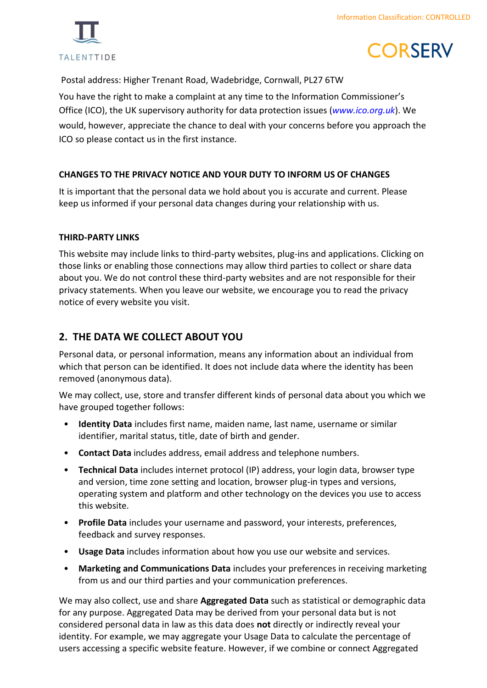



Postal address: Higher Trenant Road, Wadebridge, Cornwall, PL27 6TW You have the right to make a complaint at any time to the Information Commissioner's Office (ICO), the UK supervisory authority for data protection issues (*[www.ico.org.uk](http://www.ico.org.uk/)*). We would, however, appreciate the chance to deal with your concerns before you approach the ICO so please contact us in the first instance.

# **CHANGES TO THE PRIVACY NOTICE AND YOUR DUTY TO INFORM US OF CHANGES**

It is important that the personal data we hold about you is accurate and current. Please keep us informed if your personal data changes during your relationship with us.

# **THIRD-PARTY LINKS**

This website may include links to third-party websites, plug-ins and applications. Clicking on those links or enabling those connections may allow third parties to collect or share data about you. We do not control these third-party websites and are not responsible for their privacy statements. When you leave our website, we encourage you to read the privacy notice of every website you visit.

# **2. THE DATA WE COLLECT ABOUT YOU**

Personal data, or personal information, means any information about an individual from which that person can be identified. It does not include data where the identity has been removed (anonymous data).

We may collect, use, store and transfer different kinds of personal data about you which we have grouped together follows:

- **Identity Data** includes first name, maiden name, last name, username or similar identifier, marital status, title, date of birth and gender.
- **Contact Data** includes address, email address and telephone numbers.
- **Technical Data** includes internet protocol (IP) address, your login data, browser type and version, time zone setting and location, browser plug-in types and versions, operating system and platform and other technology on the devices you use to access this website.
- **Profile Data** includes your username and password, your interests, preferences, feedback and survey responses.
- **Usage Data** includes information about how you use our website and services.
- **Marketing and Communications Data** includes your preferences in receiving marketing from us and our third parties and your communication preferences.

We may also collect, use and share **Aggregated Data** such as statistical or demographic data for any purpose. Aggregated Data may be derived from your personal data but is not considered personal data in law as this data does **not** directly or indirectly reveal your identity. For example, we may aggregate your Usage Data to calculate the percentage of users accessing a specific website feature. However, if we combine or connect Aggregated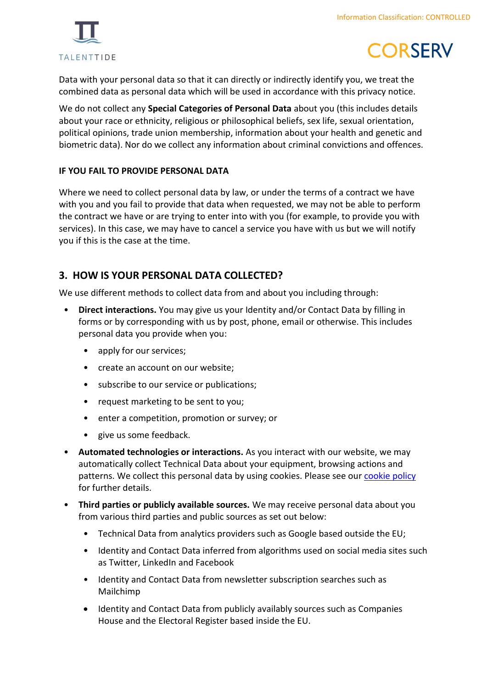



Data with your personal data so that it can directly or indirectly identify you, we treat the combined data as personal data which will be used in accordance with this privacy notice.

We do not collect any **Special Categories of Personal Data** about you (this includes details about your race or ethnicity, religious or philosophical beliefs, sex life, sexual orientation, political opinions, trade union membership, information about your health and genetic and biometric data). Nor do we collect any information about criminal convictions and offences.

# **IF YOU FAIL TO PROVIDE PERSONAL DATA**

Where we need to collect personal data by law, or under the terms of a contract we have with you and you fail to provide that data when requested, we may not be able to perform the contract we have or are trying to enter into with you (for example, to provide you with services). In this case, we may have to cancel a service you have with us but we will notify you if this is the case at the time.

# **3. HOW IS YOUR PERSONAL DATA COLLECTED?**

We use different methods to collect data from and about you including through:

- **Direct interactions.** You may give us your Identity and/or Contact Data by filling in forms or by corresponding with us by post, phone, email or otherwise. This includes personal data you provide when you:
	- apply for our services;
	- create an account on our website;
	- subscribe to our service or publications;
	- request marketing to be sent to you;
	- enter a competition, promotion or survey; or
	- give us some feedback.
- **Automated technologies or interactions.** As you interact with our website, we may automatically collect Technical Data about your equipment, browsing actions and patterns. We collect this personal data by using cookies. Please see our [cookie policy](https://www.corservltd.co.uk/privacy-and-cookie-policy/) for further details.
- **Third parties or publicly available sources.** We may receive personal data about you from various third parties and public sources as set out below:
	- Technical Data from analytics providers such as Google based outside the EU;
	- Identity and Contact Data inferred from algorithms used on social media sites such as Twitter, LinkedIn and Facebook
	- Identity and Contact Data from newsletter subscription searches such as Mailchimp
	- Identity and Contact Data from publicly availably sources such as Companies House and the Electoral Register based inside the EU.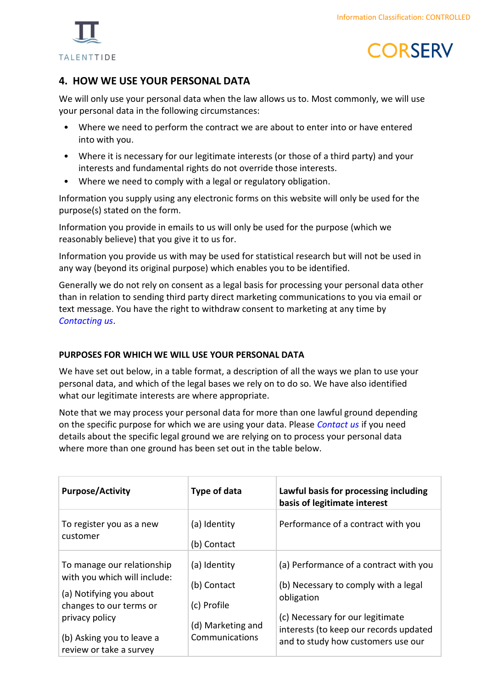



# **4. HOW WE USE YOUR PERSONAL DATA**

We will only use your personal data when the law allows us to. Most commonly, we will use your personal data in the following circumstances:

- Where we need to perform the contract we are about to enter into or have entered into with you.
- Where it is necessary for our legitimate interests (or those of a third party) and your interests and fundamental rights do not override those interests.
- Where we need to comply with a legal or regulatory obligation.

Information you supply using any electronic forms on this website will only be used for the purpose(s) stated on the form.

Information you provide in emails to us will only be used for the purpose (which we reasonably believe) that you give it to us for.

Information you provide us with may be used for statistical research but will not be used in any way (beyond its original purpose) which enables you to be identified.

Generally we do not rely on consent as a legal basis for processing your personal data other than in relation to sending third party direct marketing communications to you via email or text message. You have the right to withdraw consent to marketing at any time by *[Contacting](#page-0-0) us*.

# **PURPOSES FOR WHICH WE WILL USE YOUR PERSONAL DATA**

We have set out below, in a table format, a description of all the ways we plan to use your personal data, and which of the legal bases we rely on to do so. We have also identified what our legitimate interests are where appropriate.

Note that we may process your personal data for more than one lawful ground depending on the specific purpose for which we are using your data. Please *[Contact us](#page-0-0)* if you need details about the specific legal ground we are relying on to process your personal data where more than one ground has been set out in the table below.

| <b>Purpose/Activity</b>                                                                                                                                                                    | Type of data                                                                      | Lawful basis for processing including<br>basis of legitimate interest                                                                                                                                            |
|--------------------------------------------------------------------------------------------------------------------------------------------------------------------------------------------|-----------------------------------------------------------------------------------|------------------------------------------------------------------------------------------------------------------------------------------------------------------------------------------------------------------|
| To register you as a new<br>customer                                                                                                                                                       | (a) Identity<br>(b) Contact                                                       | Performance of a contract with you                                                                                                                                                                               |
| To manage our relationship<br>with you which will include:<br>(a) Notifying you about<br>changes to our terms or<br>privacy policy<br>(b) Asking you to leave a<br>review or take a survey | (a) Identity<br>(b) Contact<br>(c) Profile<br>(d) Marketing and<br>Communications | (a) Performance of a contract with you<br>(b) Necessary to comply with a legal<br>obligation<br>(c) Necessary for our legitimate<br>interests (to keep our records updated<br>and to study how customers use our |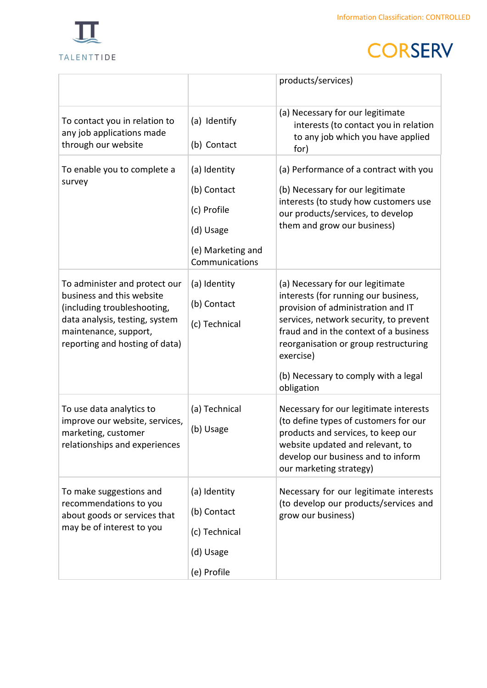

T

F

# **CORSERV**

|                                                                                                                                                                                        |                                                                                                | products/services)                                                                                                                                                                                                                                                                                             |
|----------------------------------------------------------------------------------------------------------------------------------------------------------------------------------------|------------------------------------------------------------------------------------------------|----------------------------------------------------------------------------------------------------------------------------------------------------------------------------------------------------------------------------------------------------------------------------------------------------------------|
| To contact you in relation to<br>any job applications made<br>through our website                                                                                                      | (a) Identify<br>(b) Contact                                                                    | (a) Necessary for our legitimate<br>interests (to contact you in relation<br>to any job which you have applied<br>for)                                                                                                                                                                                         |
| To enable you to complete a<br>survey                                                                                                                                                  | (a) Identity<br>(b) Contact<br>(c) Profile<br>(d) Usage<br>(e) Marketing and<br>Communications | (a) Performance of a contract with you<br>(b) Necessary for our legitimate<br>interests (to study how customers use<br>our products/services, to develop<br>them and grow our business)                                                                                                                        |
| To administer and protect our<br>business and this website<br>(including troubleshooting,<br>data analysis, testing, system<br>maintenance, support,<br>reporting and hosting of data) | (a) Identity<br>(b) Contact<br>(c) Technical                                                   | (a) Necessary for our legitimate<br>interests (for running our business,<br>provision of administration and IT<br>services, network security, to prevent<br>fraud and in the context of a business<br>reorganisation or group restructuring<br>exercise)<br>(b) Necessary to comply with a legal<br>obligation |
| To use data analytics to<br>improve our website, services,<br>marketing, customer<br>relationships and experiences                                                                     | (a) Technical<br>(b) Usage                                                                     | Necessary for our legitimate interests<br>(to define types of customers for our<br>products and services, to keep our<br>website updated and relevant, to<br>develop our business and to inform<br>our marketing strategy)                                                                                     |
| To make suggestions and<br>recommendations to you<br>about goods or services that<br>may be of interest to you                                                                         | (a) Identity<br>(b) Contact<br>(c) Technical<br>(d) Usage<br>(e) Profile                       | Necessary for our legitimate interests<br>(to develop our products/services and<br>grow our business)                                                                                                                                                                                                          |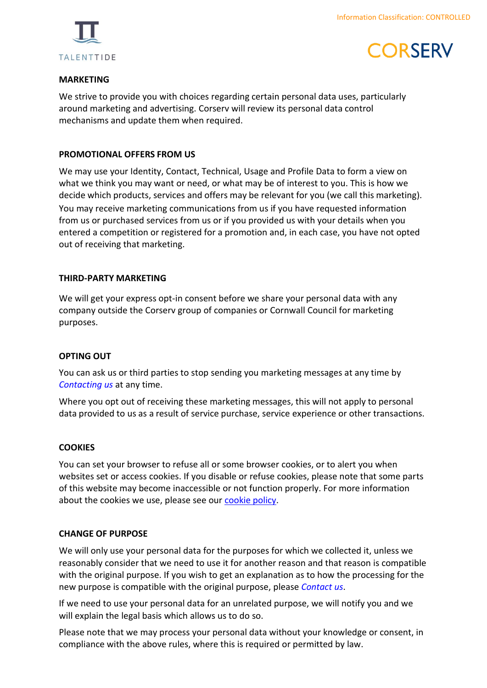



# **MARKETING**

We strive to provide you with choices regarding certain personal data uses, particularly around marketing and advertising. Corserv will review its personal data control mechanisms and update them when required.

# **PROMOTIONAL OFFERS FROM US**

We may use your Identity, Contact, Technical, Usage and Profile Data to form a view on what we think you may want or need, or what may be of interest to you. This is how we decide which products, services and offers may be relevant for you (we call this marketing). You may receive marketing communications from us if you have requested information from us or purchased services from us or if you provided us with your details when you entered a competition or registered for a promotion and, in each case, you have not opted out of receiving that marketing.

#### **THIRD-PARTY MARKETING**

We will get your express opt-in consent before we share your personal data with any company outside the Corserv group of companies or Cornwall Council for marketing purposes.

# **OPTING OUT**

You can ask us or third parties to stop sending you marketing messages at any time by *[Contacting](#page-0-0) us* at any time.

Where you opt out of receiving these marketing messages, this will not apply to personal data provided to us as a result of service purchase, service experience or other transactions.

#### **COOKIES**

You can set your browser to refuse all or some browser cookies, or to alert you when websites set or access cookies. If you disable or refuse cookies, please note that some parts of this website may become inaccessible or not function properly. For more information about the [cookie](https://www.corservltd.co.uk/privacy-and-cookie-policy/)s we use, please see our **cookie policy**.

#### **CHANGE OF PURPOSE**

We will only use your personal data for the purposes for which we collected it, unless we reasonably consider that we need to use it for another reason and that reason is compatible with the original purpose. If you wish to get an explanation as to how the processing for the new purpose is compatible with the original purpose, please *[Contact](#page-0-0) us*.

If we need to use your personal data for an unrelated purpose, we will notify you and we will explain the legal basis which allows us to do so.

Please note that we may process your personal data without your knowledge or consent, in compliance with the above rules, where this is required or permitted by law.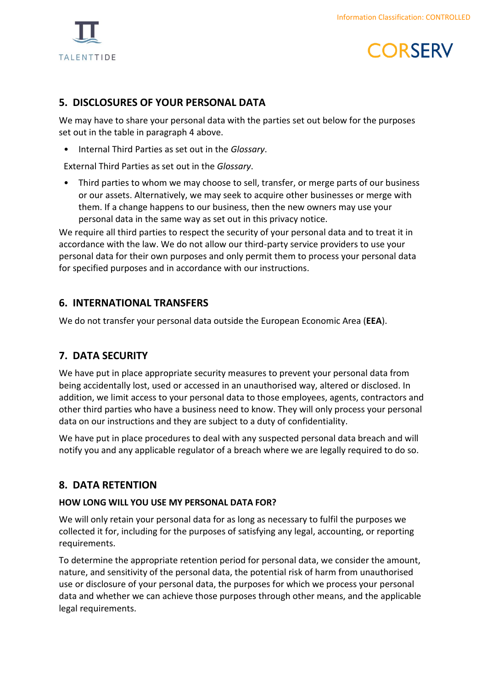





# **5. DISCLOSURES OF YOUR PERSONAL DATA**

We may have to share your personal data with the parties set out below for the purposes set out in the table in paragraph 4 above.

• Internal Third Parties as set out in the *Glossary*.

External Third Parties as set out in the *Glossary*.

Third parties to whom we may choose to sell, transfer, or merge parts of our business or our assets. Alternatively, we may seek to acquire other businesses or merge with them. If a change happens to our business, then the new owners may use your personal data in the same way as set out in this privacy notice.

We require all third parties to respect the security of your personal data and to treat it in accordance with the law. We do not allow our third-party service providers to use your personal data for their own purposes and only permit them to process your personal data for specified purposes and in accordance with our instructions.

# **6. INTERNATIONAL TRANSFERS**

We do not transfer your personal data outside the European Economic Area (**EEA**).

# **7. DATA SECURITY**

We have put in place appropriate security measures to prevent your personal data from being accidentally lost, used or accessed in an unauthorised way, altered or disclosed. In addition, we limit access to your personal data to those employees, agents, contractors and other third parties who have a business need to know. They will only process your personal data on our instructions and they are subject to a duty of confidentiality.

We have put in place procedures to deal with any suspected personal data breach and will notify you and any applicable regulator of a breach where we are legally required to do so.

# **8. DATA RETENTION**

# **HOW LONG WILL YOU USE MY PERSONAL DATA FOR?**

We will only retain your personal data for as long as necessary to fulfil the purposes we collected it for, including for the purposes of satisfying any legal, accounting, or reporting requirements.

To determine the appropriate retention period for personal data, we consider the amount, nature, and sensitivity of the personal data, the potential risk of harm from unauthorised use or disclosure of your personal data, the purposes for which we process your personal data and whether we can achieve those purposes through other means, and the applicable legal requirements.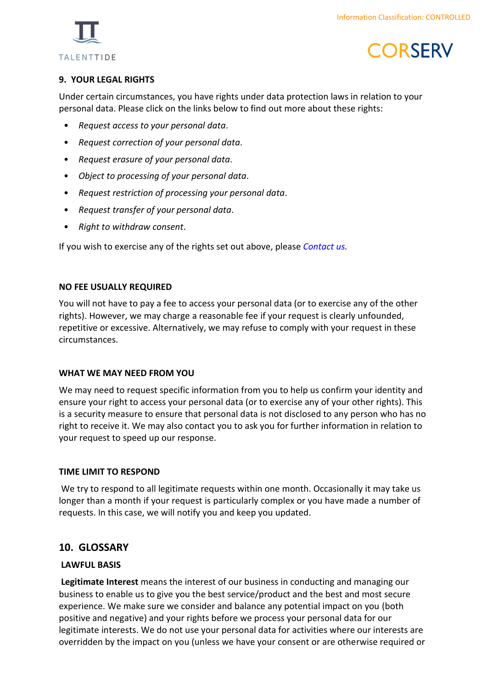



# **9. YOUR LEGAL RIGHTS**

Under certain circumstances, you have rights under data protection laws in relation to your personal data. Please click on the links below to find out more about these rights:

- *Request access to your personal data*.
- *Request correction of your personal data*.
- *Request erasure of your personal data*.
- *Object to processing of your personal data*.
- *Request restriction of processing your personal data*.
- *Request transfer of your personal data*.
- *Right to withdraw consent*.

If you wish to exercise any of the rights set out above, please *[Contact us.](#page-0-0)*

# **NO FEE USUALLY REQUIRED**

You will not have to pay a fee to access your personal data (or to exercise any of the other rights). However, we may charge a reasonable fee if your request is clearly unfounded, repetitive or excessive. Alternatively, we may refuse to comply with your request in these circumstances.

# **WHAT WE MAY NEED FROM YOU**

We may need to request specific information from you to help us confirm your identity and ensure your right to access your personal data (or to exercise any of your other rights). This is a security measure to ensure that personal data is not disclosed to any person who has no right to receive it. We may also contact you to ask you for further information in relation to your request to speed up our response.

# **TIME LIMIT TO RESPOND**

We try to respond to all legitimate requests within one month. Occasionally it may take us longer than a month if your request is particularly complex or you have made a number of requests. In this case, we will notify you and keep you updated.

# **10. GLOSSARY**

# **LAWFUL BASIS**

**Legitimate Interest** means the interest of our business in conducting and managing our business to enable us to give you the best service/product and the best and most secure experience. We make sure we consider and balance any potential impact on you (both positive and negative) and your rights before we process your personal data for our legitimate interests. We do not use your personal data for activities where our interests are overridden by the impact on you (unless we have your consent or are otherwise required or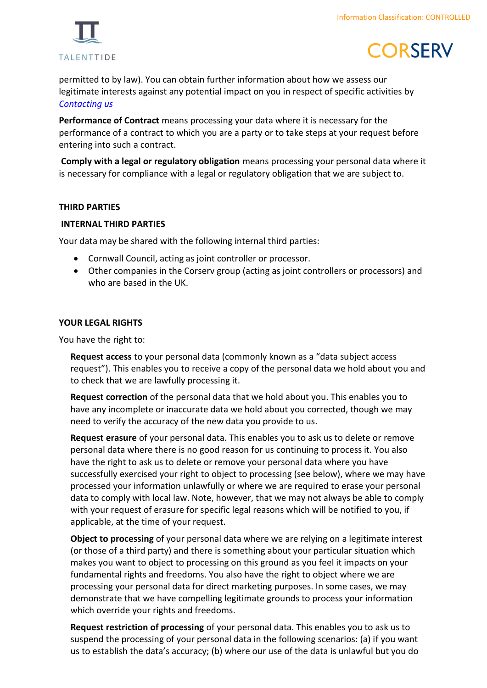



permitted to by law). You can obtain further information about how we assess our legitimate interests against any potential impact on you in respect of specific activities by *[Contacting](#page-0-0) us*

**Performance of Contract** means processing your data where it is necessary for the performance of a contract to which you are a party or to take steps at your request before entering into such a contract.

**Comply with a legal or regulatory obligation** means processing your personal data where it is necessary for compliance with a legal or regulatory obligation that we are subject to.

# **THIRD PARTIES**

#### **INTERNAL THIRD PARTIES**

Your data may be shared with the following internal third parties:

- Cornwall Council, acting as joint controller or processor.
- Other companies in the Corserv group (acting as joint controllers or processors) and who are based in the UK.

# **YOUR LEGAL RIGHTS**

You have the right to:

**Request access** to your personal data (commonly known as a "data subject access request"). This enables you to receive a copy of the personal data we hold about you and to check that we are lawfully processing it.

**Request correction** of the personal data that we hold about you. This enables you to have any incomplete or inaccurate data we hold about you corrected, though we may need to verify the accuracy of the new data you provide to us.

**Request erasure** of your personal data. This enables you to ask us to delete or remove personal data where there is no good reason for us continuing to process it. You also have the right to ask us to delete or remove your personal data where you have successfully exercised your right to object to processing (see below), where we may have processed your information unlawfully or where we are required to erase your personal data to comply with local law. Note, however, that we may not always be able to comply with your request of erasure for specific legal reasons which will be notified to you, if applicable, at the time of your request.

**Object to processing** of your personal data where we are relying on a legitimate interest (or those of a third party) and there is something about your particular situation which makes you want to object to processing on this ground as you feel it impacts on your fundamental rights and freedoms. You also have the right to object where we are processing your personal data for direct marketing purposes. In some cases, we may demonstrate that we have compelling legitimate grounds to process your information which override your rights and freedoms.

**Request restriction of processing** of your personal data. This enables you to ask us to suspend the processing of your personal data in the following scenarios: (a) if you want us to establish the data's accuracy; (b) where our use of the data is unlawful but you do